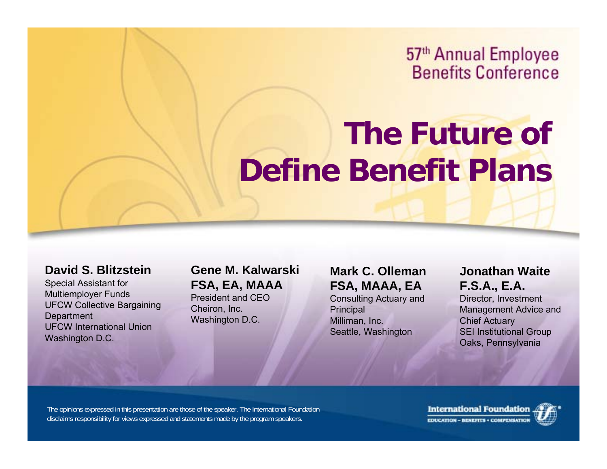57<sup>th</sup> Annual Employee **Benefits Conference** 

## **The Future of Define Benefit Plans**

#### **David S. Blitzstein**

Special Assistant for Multiemployer Funds UFCW Collective Bargaining **Department** UFCW International UnionWashington D.C.

**Gene M. Kalwarski FSA, EA, MAAA** President and CEO

Cheiron, Inc. Washington D.C. **Mark C. OllemanFSA, MAAA, EA** Consulting Actuary and **Principal** Milliman, Inc. Seattle, Washington

**Jonathan WaiteF.S.A., E.A.**

Director, Investment Management Advice and Chief Actuary SEI Institutional Group Oaks, Pennsylvania

The opinions expressed in this presentation are those of the speaker. The International Foundation disclaims responsibility for views expressed and statements made by the program speakers.

**International Foundation** EDUCATION - BENEFITS . COMPENSATIO

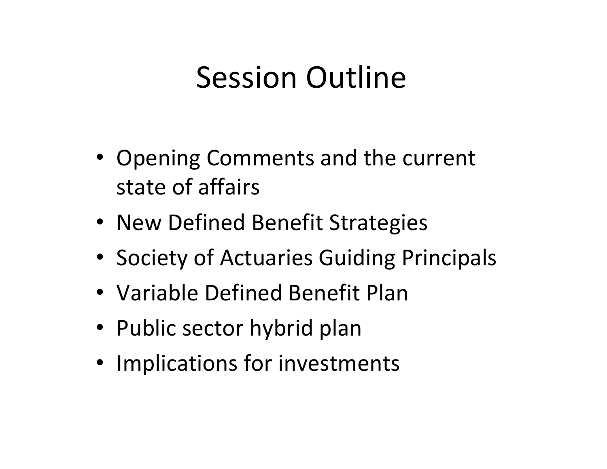## Session Outline

- Opening Comments and the current state of affairs
- New Defined Benefit Strategies
- Society of Actuaries Guiding Principals
- Variable Defined Benefit Plan
- Public sector hybrid plan
- Implications for investments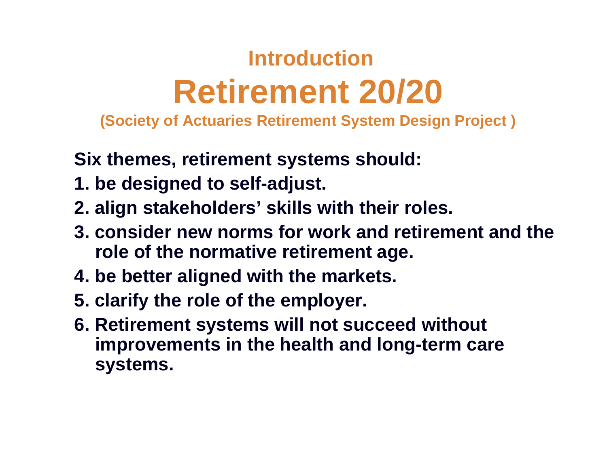## **IntroductionRetirement 20/20**

**(Society of Actuaries Retirement System Design Project )**

**Six themes, retirement systems should:**

- **1. be designed to self-adjust.**
- **2. align stakeholders' skills with their roles.**
- **3. consider new norms for work and retirement and the role of the normative retirement age.**
- **4. be better aligned with the markets.**
- **5. clarify the role of the employer.**
- **6. Retirement systems will not succeed without improvements in the health and long-term care systems.**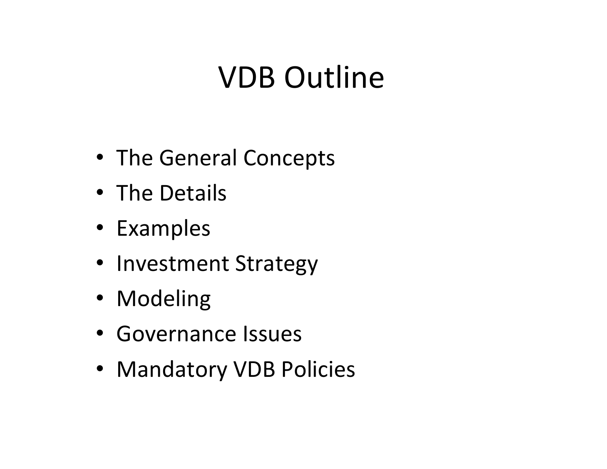# VDB Outline

- The General Concepts
- The Details
- Examples
- Investment Strategy
- Modeling
- Governance Issues
- Mandatory VDB Policies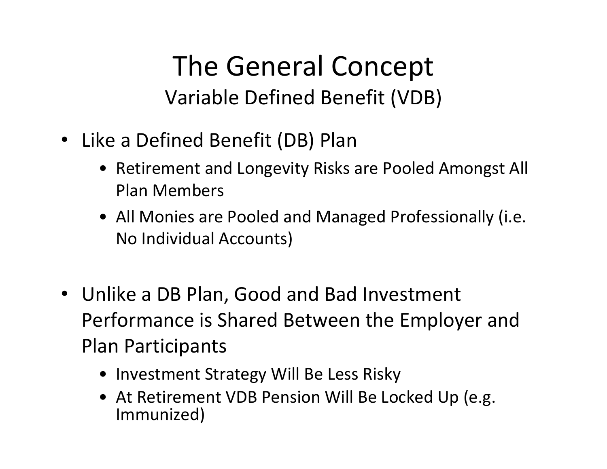### The General Concept Variable Defined Benefit (VDB)

- Like <sup>a</sup> Defined Benefit (DB) Plan
	- Retirement and Longevity Risks are Pooled Amongst All Plan Members
	- All Monies are Pooled and Managed Professionally (i.e. No Individual Accounts)
- Unlike a DB Plan, Good and Bad Investment Performance is Shared Between the Employer and Plan Participants
	- Investment Strategy Will Be Less Risky
	- At Retirement VDB Pension Will Be Locked Up (e.g. Immunized)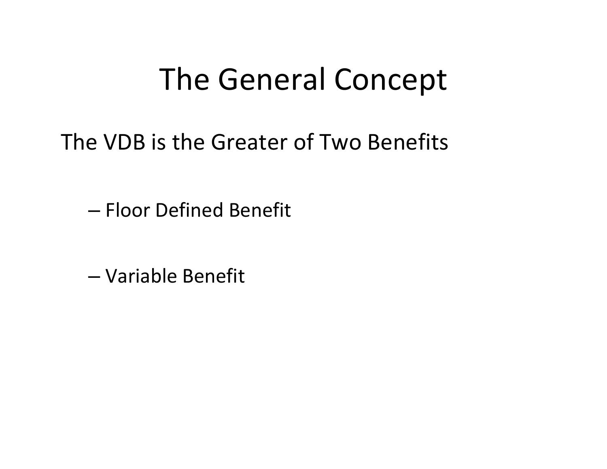# The General Concept

The VDB is the Greater of Two Benefits

– Floor Defined Benefit

– Variable Benefit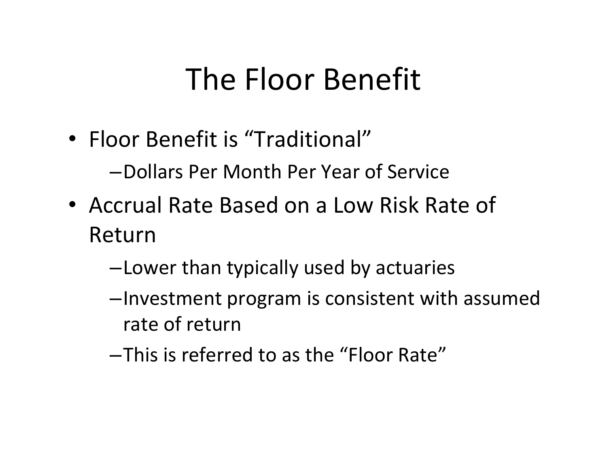# The Floor Benefit

• Floor Benefit is "Traditional"

–Dollars Per Month Per Year of Service

- Accrual Rate Based on a Low Risk Rate of Return
	- –Lower than typically used by actuaries
	- –Investment program is consistent with assumed rate of return
	- –This is referred to as the "Floor Rate"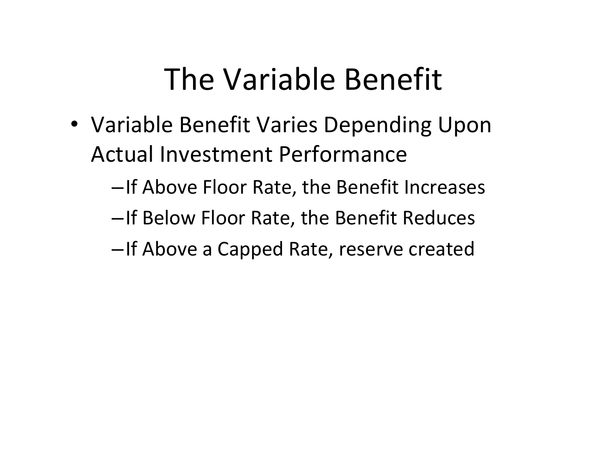# The Variable Benefit

- Variable Benefit Varies Depending Upon Actual Investment Performance
	- –If Above Floor Rate, the Benefit Increases
	- –If Below Floor Rate, the Benefit Reduces
	- –If Above <sup>a</sup> Capped Rate, reserve created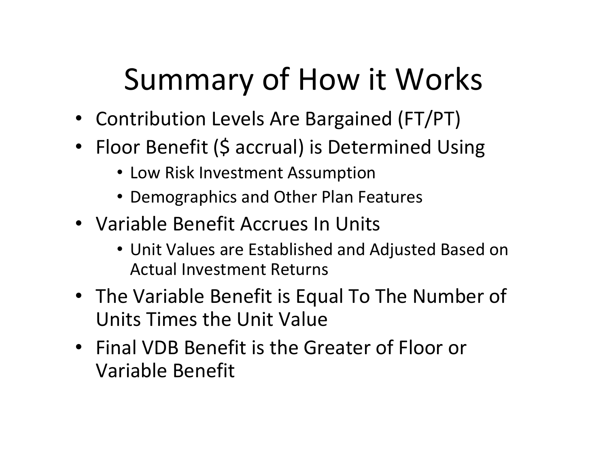# Summary of How it Works

- Contribution Levels Are Bargained (FT/PT)
- Floor Benefit (\$ accrual) is Determined Using
	- Low Risk Investment Assumption
	- Demographics and Other Plan Features
- Variable Benefit Accrues In Units
	- Unit Values are Established and Adjusted Based on Actual Investment Returns
- The Variable Benefit is Equal To The Number of Units Times the Unit Value
- Final VDB Benefit is the Greater of Floor or Variable Benefit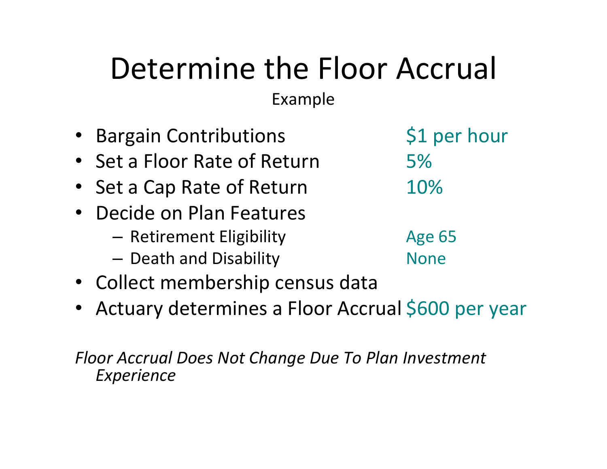# Determine the Floor Accrual

Example

- •Bargain Contributions 51 per hour • Set a Floor Rate of Return 5%• Set a Cap Rate of Return 10%  $\bullet$ • Decide on Plan Features – Retirement Eligibility Age 65 –— Death and Disability **None** Rome
- Collect membership census data
- Actuary determines a Floor Accrual \$600 per year

*Floor Accrual Does Not Change Due To Plan Investment Experience*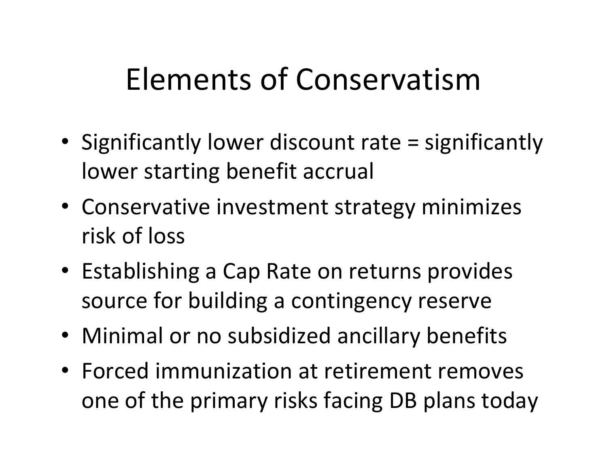# Elements of Conservatism

- Significantly lower discount rate <sup>=</sup> significantly lower starting benefit accrual
- Conservative investment strategy minimizes risk of loss
- Establishing <sup>a</sup> Cap Rate on returns provides source for building <sup>a</sup> contingency reserve
- Minimal or no subsidized ancillary benefits
- Forced immunization at retirement removes one of the primary risks facing DB plans today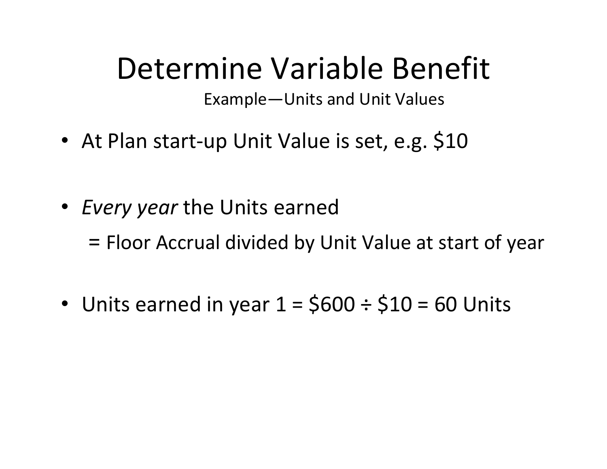# Determine Variable Benefit

Example—Units and Unit Values

- At Plan start-up Unit Value is set, e.g. \$10
- *Every year* the Units earned

= Floor Accrual divided by Unit Value at start of year

• Units earned in year  $1 = $600 \div $10 = 60$  Units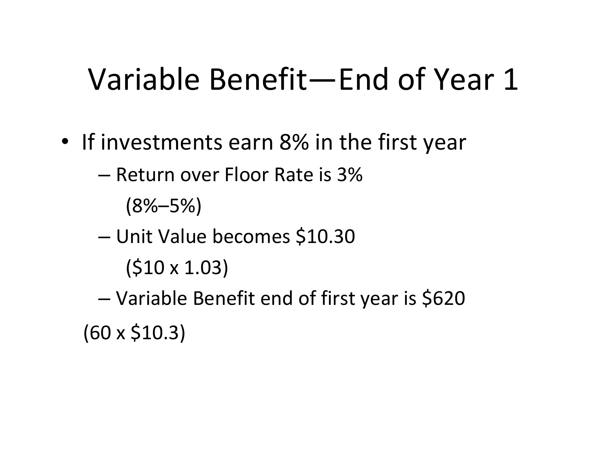# Variable Benefit—End of Year 1

- If investments earn 8% in the first year
	- Return over Floor Rate is 3%

 $(8\% - 5\%)$ 

- and the state of the state Unit Value becomes \$10.30
	- (\$10 <sup>x</sup> 1.03)
- and the state of the state Variable Benefit end of first year is \$620  $(60 \times $10.3)$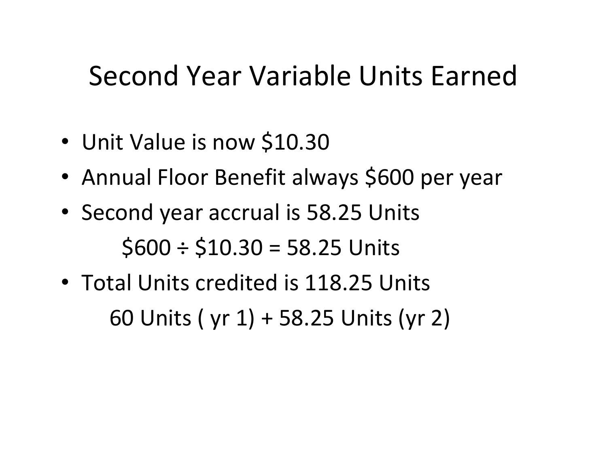### Second Year Variable Units Earned

- Unit Value is now \$10.30
- •Annual Floor Benefit always \$600 per year
- Second year accrual is 58.25 Units  $$600 \div $10.30 = 58.25$  Units
- Total Units credited is 118.25 Units 60 Units ( yr 1) <sup>+</sup> 58.25 Units (yr 2)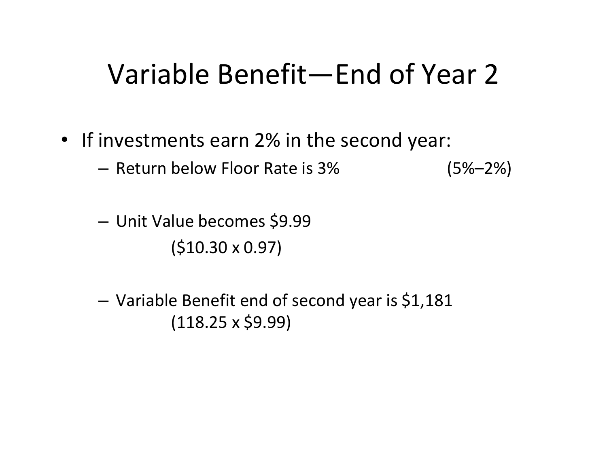### Variable Benefit—End of Year 2

- If investments earn 2% in the second year:
	- Return below Floor Rate is 3% (5%–2%)
	- and the state of the Unit Value becomes \$9.99 (\$10.30 <sup>x</sup> 0.97)
	- and the state of the Variable Benefit end of second year is \$1,181  $(118.25 \times $9.99)$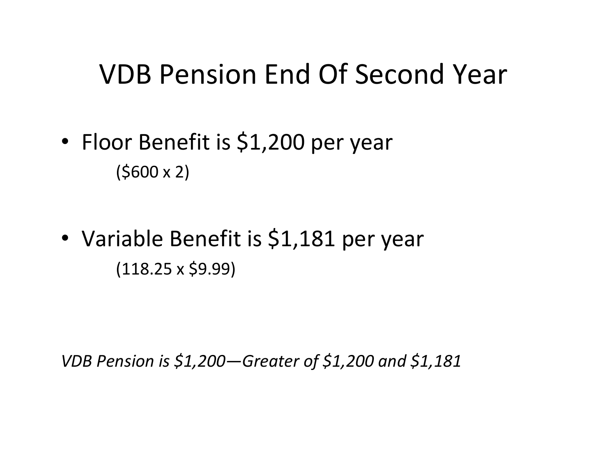### VDB Pension End Of Second Year

- Floor Benefit is \$1,200 per year  $(5600 \times 2)$
- Variable Benefit is \$1,181 per year  $(118.25 \times $9.99)$

*VDB Pension is \$1,200—Greater of \$1,200 and \$1,181*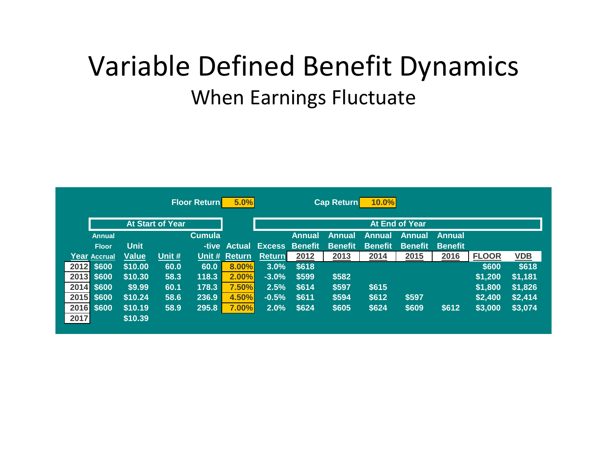### Variable Defined Benefit Dynamics When Earnings Fluctuate

|      |               |              |                         | <b>Floor Return</b> | 5.0%          |               |                | <b>Cap Return</b> | 10.0%          |                |                |              |            |
|------|---------------|--------------|-------------------------|---------------------|---------------|---------------|----------------|-------------------|----------------|----------------|----------------|--------------|------------|
|      |               |              | <b>At Start of Year</b> |                     |               |               |                |                   |                | At End of Year |                |              |            |
|      | <b>Annual</b> |              |                         | <b>Cumula</b>       |               |               | <b>Annual</b>  | Annual            | Annual         | Annual         | <b>Annual</b>  |              |            |
|      | <b>Floor</b>  | <b>Unit</b>  |                         |                     | -tive Actual  | <b>Excess</b> | <b>Benefit</b> | <b>Benefit</b>    | <b>Benefit</b> | <b>Benefit</b> | <b>Benefit</b> |              |            |
|      | Year Accrual  | <b>Value</b> | Unit $#$                |                     | Unit # Return | <b>Return</b> | 2012           | 2013              | 2014           | 2015           | 2016           | <b>FLOOR</b> | <b>VDB</b> |
|      | 2012 \$600    | \$10.00      | 60.0                    | 60.0                | 8.00%         | 3.0%          | \$618          |                   |                |                |                | \$600        | \$618      |
|      | 2013 \$600    | \$10.30      | 58.3                    | 118.3               | 2.00%         | $-3.0%$       | \$599          | \$582             |                |                |                | \$1,200      | \$1,181    |
|      | 2014 \$600    | \$9.99       | 60.1                    | 178.3               | 7.50%         | 2.5%          | \$614          | \$597             | \$615          |                |                | \$1,800      | \$1,826    |
|      | 2015 \$600    | \$10.24      | 58.6                    | 236.9               | 4.50%         | $-0.5%$       | \$611          | \$594             | \$612          | \$597          |                | \$2,400      | \$2,414    |
|      | 2016 \$600    | \$10.19      | 58.9                    | 295.8               | 7.00%         | 2.0%          | \$624          | \$605             | \$624          | \$609          | \$612          | \$3,000      | \$3,074    |
| 2017 |               | \$10.39      |                         |                     |               |               |                |                   |                |                |                |              |            |
|      |               |              |                         |                     |               |               |                |                   |                |                |                |              |            |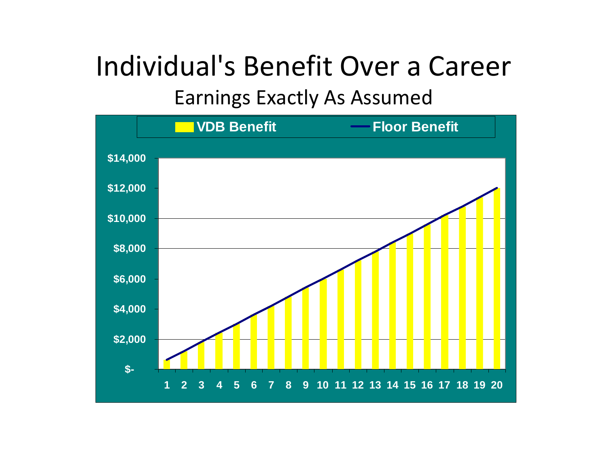## Individual's Benefit Over <sup>a</sup> Career

Earnings Exactly As Assumed

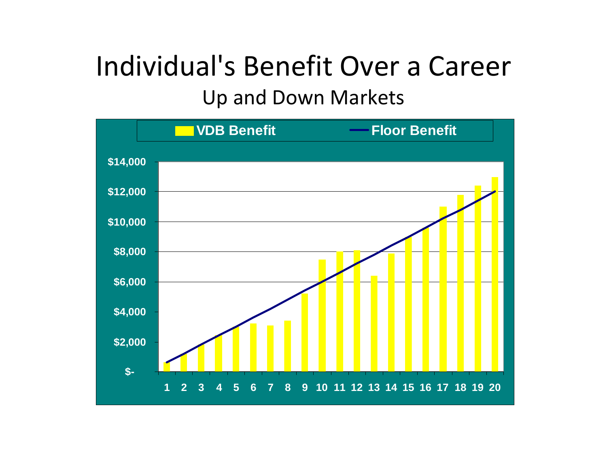### Individual's Benefit Over <sup>a</sup> Career Up and Down Markets

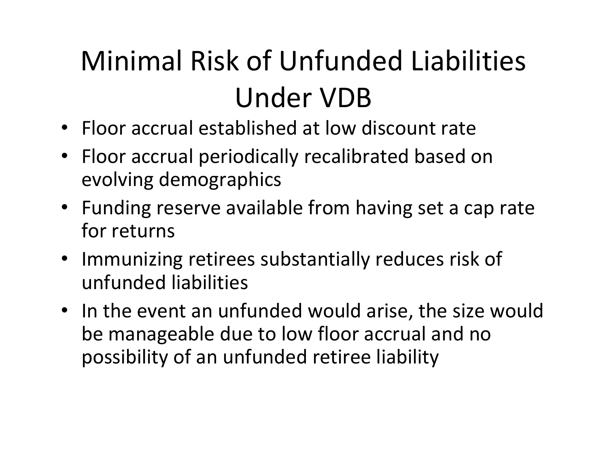# Minimal Risk of Unfunded Liabilities Under VDB

- Floor accrual established at low discount rate
- Floor accrual periodically recalibrated based on evolving demographics
- Funding reserve available from having set <sup>a</sup> cap rate for returns
- Immunizing retirees substantially reduces risk of unfunded liabilities
- In the event an unfunded would arise, the size would be manageable due to low floor accrual and no possibility of an unfunded retiree liability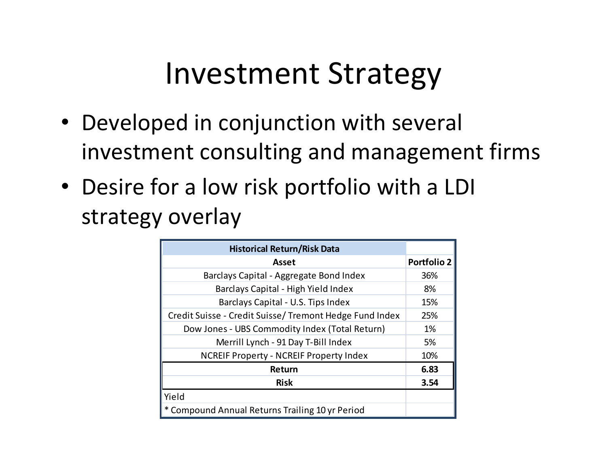# Investment Strategy

- Developed in conjunction with several investment consulting and management firms
- Desire for <sup>a</sup> low risk portfolio with <sup>a</sup> LDI strategy overlay

| <b>Historical Return/Risk Data</b>                      |                    |
|---------------------------------------------------------|--------------------|
| Asset                                                   | <b>Portfolio 2</b> |
| Barclays Capital - Aggregate Bond Index                 | 36%                |
| Barclays Capital - High Yield Index                     | 8%                 |
| Barclays Capital - U.S. Tips Index                      | 15%                |
| Credit Suisse - Credit Suisse/ Tremont Hedge Fund Index | 25%                |
| Dow Jones - UBS Commodity Index (Total Return)          | 1%                 |
| Merrill Lynch - 91 Day T-Bill Index                     | 5%                 |
| <b>NCREIF Property - NCREIF Property Index</b>          | 10%                |
| Return                                                  | 6.83               |
| <b>Risk</b>                                             | 3.54               |
| Yield                                                   |                    |
| Compound Annual Returns Trailing 10 yr Period           |                    |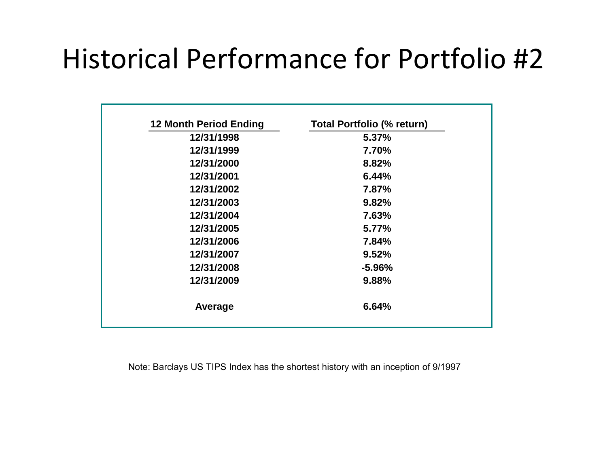## Historical Performance for Portfolio #2

| 12 Month Period Ending | <b>Total Portfolio (% return)</b> |
|------------------------|-----------------------------------|
| 12/31/1998             | 5.37%                             |
| 12/31/1999             | 7.70%                             |
| 12/31/2000             | 8.82%                             |
| 12/31/2001             | 6.44%                             |
| 12/31/2002             | 7.87%                             |
| 12/31/2003             | 9.82%                             |
| 12/31/2004             | 7.63%                             |
| 12/31/2005             | 5.77%                             |
| 12/31/2006             | 7.84%                             |
| 12/31/2007             | 9.52%                             |
| 12/31/2008             | $-5.96\%$                         |
| 12/31/2009             | 9.88%                             |
| Average                | 6.64%                             |

Note: Barclays US TIPS Index has the shortest history with an inception of 9/1997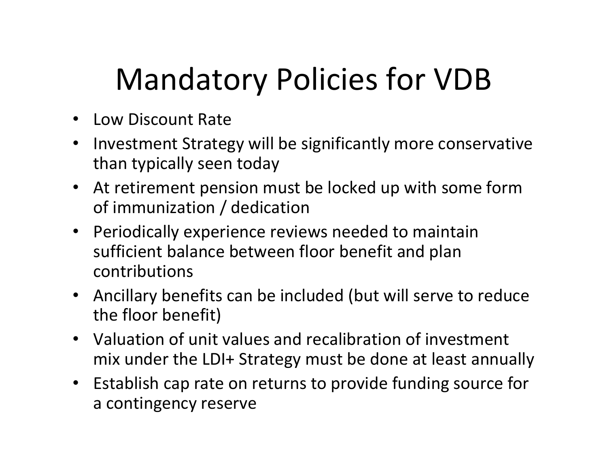# Mandatory Policies for VDB

- Low Discount Rate
- $\bullet$  Investment Strategy will be significantly more conservative than typically seen today
- • At retirement pension must be locked up with some form of immunization / dedication
- • Periodically experience reviews needed to maintain sufficient balance between floor benefit and plan contributions
- Ancillary benefits can be included (but will serve to reduce the floor benefit)
- Valuation of unit values and recalibration of investment mix under the LDI+ Strategy must be done at least annually
- Establish cap rate on returns to provide funding source for a contingency reserve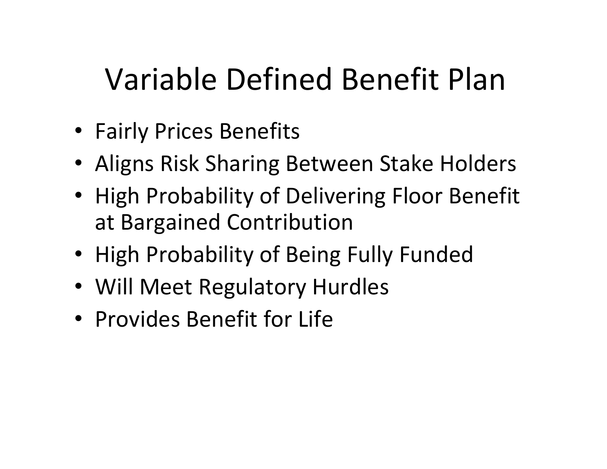# Variable Defined Benefit Plan

- Fairly Prices Benefits
- Aligns Risk Sharing Between Stake Holders
- High Probability of Delivering Floor Benefit at Bargained Contribution
- High Probability of Being Fully Funded
- Will Meet Regulatory Hurdles
- Provides Benefit for Life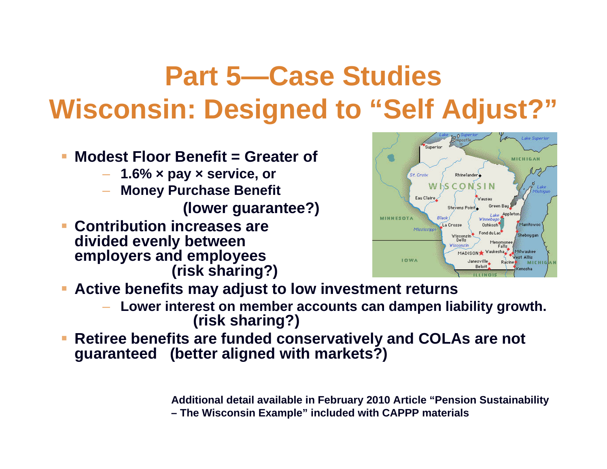- $\mathbb{R}^2$  **Modest Floor Benefit = Greater of**
	- **1.6% × pay <sup>×</sup> service, or**
	- **Money Purchase Benefit (lower guarantee?)**
- h. **Contribution increases are divided evenly between employers and employees (risk sharing?)**



- П **Active benefits may adjust to low investment returns**
	- **Lower interest on member accounts can dampen liability growth. (risk sharing?)**
- **Retiree benefits are funded conservatively and COLAs are not guaranteed (better aligned with markets?)**

**Additional detail available in February 2010 Article "Pension Sustainability – The Wisconsin Example" included with CAPPP materials**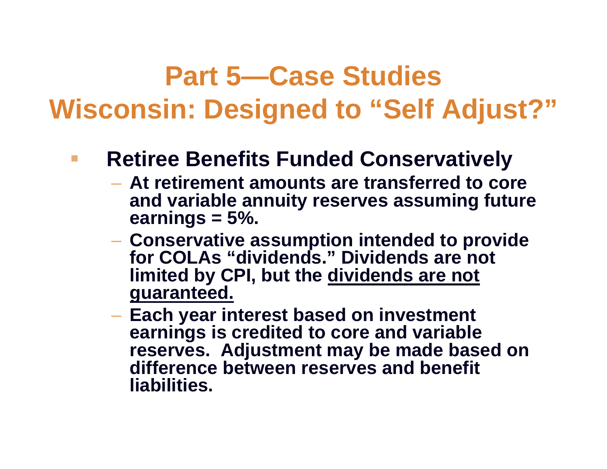### **Retiree Benefits Funded Conservatively**

- **At retirement amounts are transferred to core and variable annuity reserves assuming future earnings = 5%.**
- **Conservative assumption intended to provide for COLAs "dividends." Dividends are not limited by CPI, but the dividends are not guaranteed.**
- **Each year interest based on investment earnings is credited to core and variable reserves. Adjustment may be made based on difference between reserves and benefit liabilities.**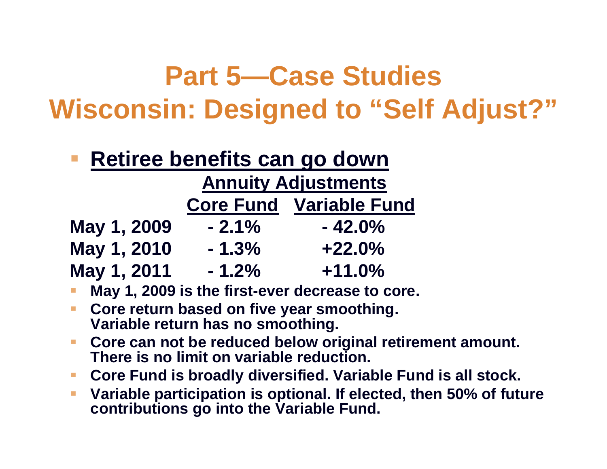### **Retiree benefits can go down**

#### **Annuity Adjustments**

|             | <b>Core Fund</b> | <b>Variable Fund</b> |
|-------------|------------------|----------------------|
| May 1, 2009 | $-2.1%$          | $-42.0\%$            |
| May 1, 2010 | $-1.3%$          | $+22.0%$             |
| May 1, 2011 | $-1.2\%$         | $+11.0\%$            |

- **May 1, 2009 is the first-ever decrease to core.**
- **Core return based on five year smoothing. Variable return has no smoothing.**
- $\mathbb{R}^2$  **Core can not be reduced below original retirement amount. There is no limit on variable reduction.**
- $\blacksquare$ **Core Fund is broadly diversified. Variable Fund is all stock.**
- $\mathcal{L}_{\mathcal{A}}$  **Variable participation is optional. If elected, then 50% of future contributions go into the Variable Fund.**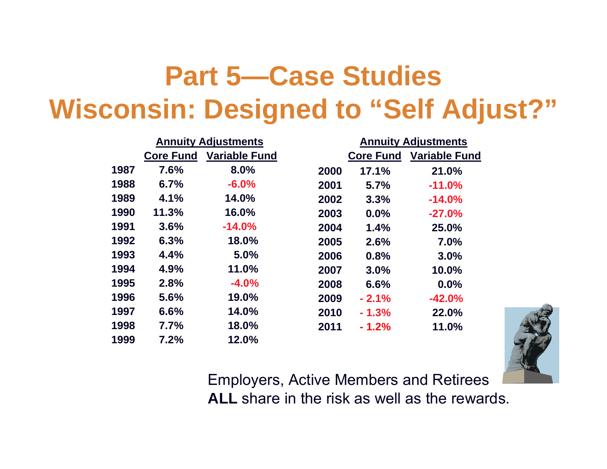|      | <b>Annuity Adjustments</b> |                      |      |                  | <b>Annuity Adjustments</b> |
|------|----------------------------|----------------------|------|------------------|----------------------------|
|      | <b>Core Fund</b>           | <b>Variable Fund</b> |      | <b>Core Fund</b> | <b>Variable Fund</b>       |
| 1987 | 7.6%                       | 8.0%                 | 2000 | 17.1%            | 21.0%                      |
| 1988 | 6.7%                       | $-6.0%$              | 2001 | 5.7%             | $-11.0%$                   |
| 1989 | 4.1%                       | 14.0%                | 2002 | 3.3%             | $-14.0%$                   |
| 1990 | 11.3%                      | 16.0%                | 2003 | 0.0%             | $-27.0%$                   |
| 1991 | 3.6%                       | $-14.0%$             | 2004 | 1.4%             | 25.0%                      |
| 1992 | 6.3%                       | 18.0%                | 2005 | 2.6%             | 7.0%                       |
| 1993 | 4.4%                       | 5.0%                 | 2006 | 0.8%             | 3.0%                       |
| 1994 | 4.9%                       | 11.0%                | 2007 | 3.0%             | 10.0%                      |
| 1995 | 2.8%                       | $-4.0%$              | 2008 | 6.6%             | 0.0%                       |
| 1996 | 5.6%                       | 19.0%                | 2009 | $-2.1%$          | $-42.0%$                   |
| 1997 | 6.6%                       | 14.0%                | 2010 | $-1.3%$          | 22.0%                      |
| 1998 | 7.7%                       | 18.0%                | 2011 | $-1.2%$          | 11.0%                      |
| 1999 | 7.2%                       | 12.0%                |      |                  |                            |



Employers, Active Members and Retirees **ALL** share in the risk as well as the rewards.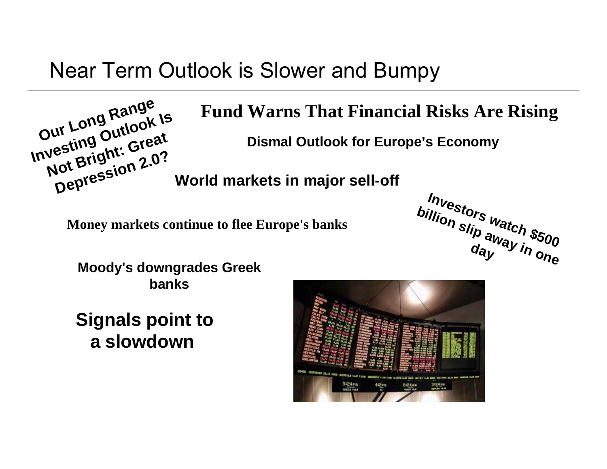### Near Term Outlook is Slower and Bumpy



#### **Fund Warns That Financial Risks Are Rising**

**Dismal Outlook for Europe's Economy** 

**World markets in major sell-off**

**Money markets continue to flee Europe's banks** 



**Moody's downgrades Greek banks**

**Signals point to a slowdown**

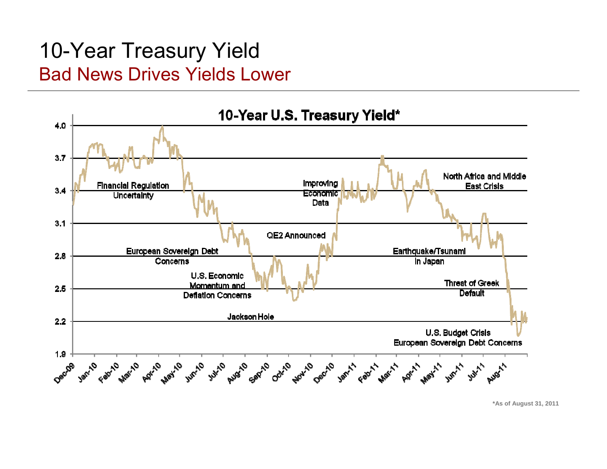### 10-Year Treasury Yield Bad News Drives Yields Lower



**\*As of August 31, 2011**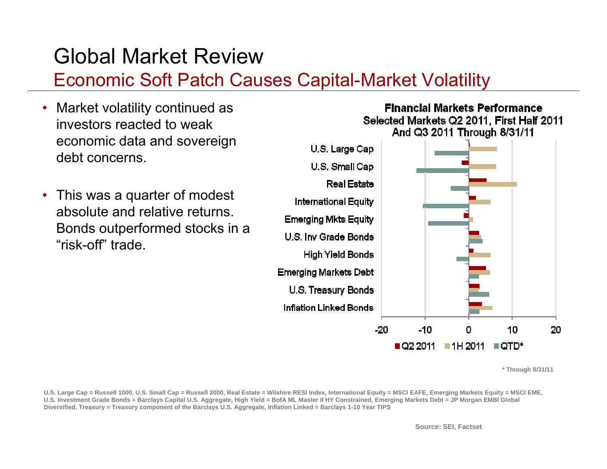### Global Market Review

#### Economic Soft Patch Causes Capital-Market Volatility

- Market volatility continued as investors reacted to weak economic data and sovereign debt concerns.
- This was a quarter of modest absolute and relative returns. Bonds outperformed stocks in a "risk-off" trade.



**Financial Markets Performance** Selected Markets Q2 2011. First Half 2011 And Q3 2011 Through 8/31/11

**\* Through 8/31/11**

**U.S. Large Cap = Russell 1000, U.S. Small Cap = Russell 2000, Real Estate = Wilshire RESI Index, International Equity = MSCI EAFE, Emerging Markets Equity = MSCI EME,**  U.S. Investment Grade Bonds = Barclays Capital U.S. Aggregate, High Yield = BofA ML Master II HY Constrained, Emerging Markets Debt = JP Morgan EMBI Global **Diversified, Treasury = Treasury component of the Barclays U.S. Aggregate, Inflation Linked = Barclays 1-10 Year TIPS**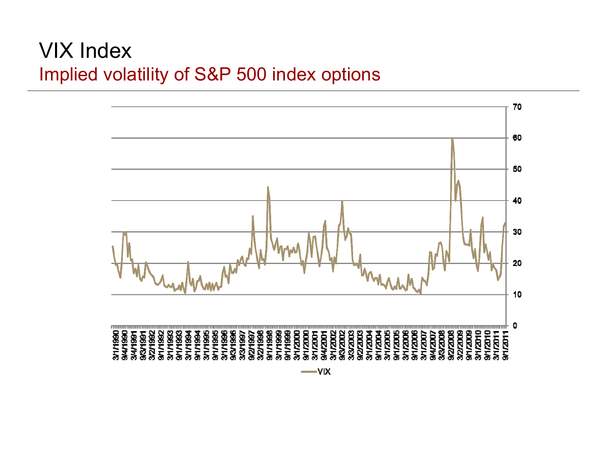#### VIX Index Implied volatility of S&P 500 index options

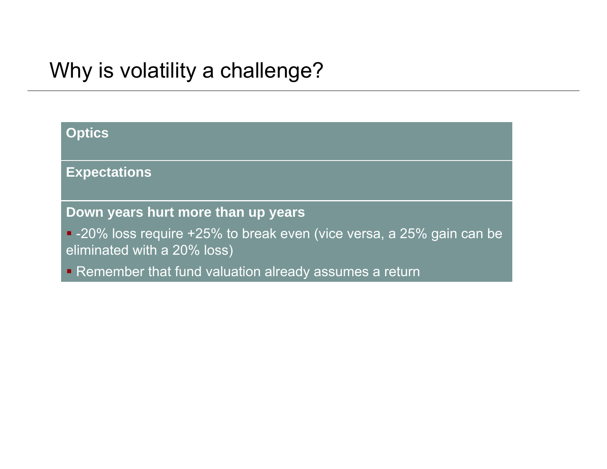### Why is volatility a challenge?

| <b>Optics</b> |                                                                                                      |
|---------------|------------------------------------------------------------------------------------------------------|
|               | <b>Expectations</b>                                                                                  |
|               | Down years hurt more than up years                                                                   |
|               | • -20% loss require +25% to break even (vice versa, a 25% gain can be<br>eliminated with a 20% loss) |
|               | • Remember that fund valuation already assumes a return                                              |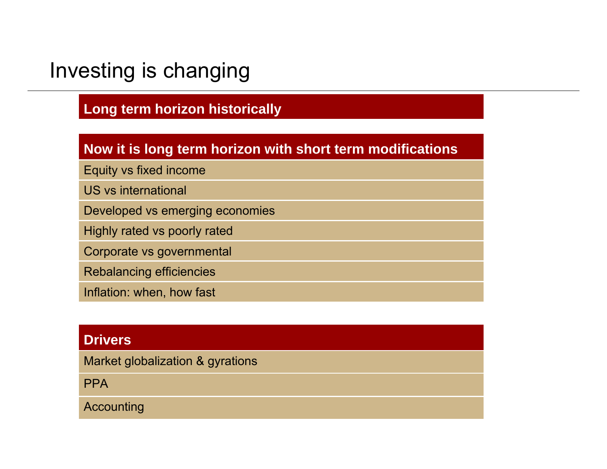### Investing is changing

#### **Long term horizon historically**

#### **Now it is long term horizon with short term modifications**

Equity vs fixed income

US vs international

Developed vs emerging economies

Highly rated vs poorly rated

Corporate vs governmental

Rebalancing efficiencies

Inflation: when, how fast

#### **Drivers**

Market globalization & gyrations

**PPA** 

Accounting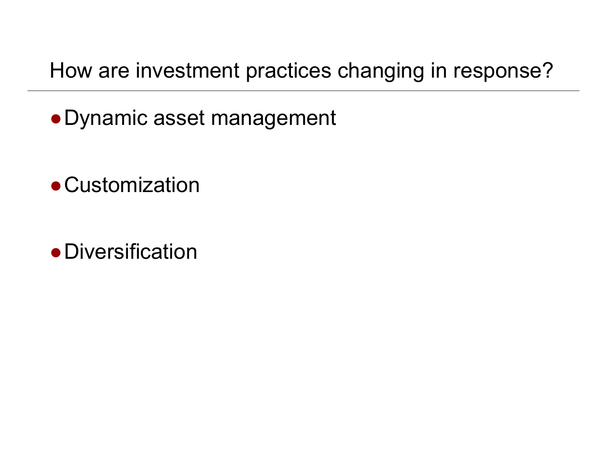How are investment practices changing in response?

- ●Dynamic asset management
- ●Customization
- ●Diversification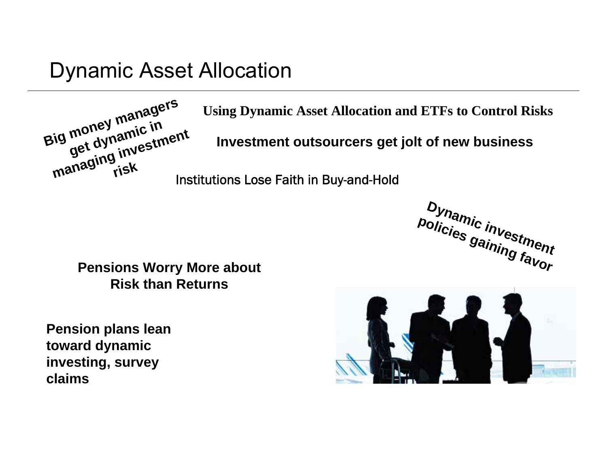#### Dynamic Asset Allocation



**Using Dynamic Asset Allocation and ETFs to Control Risks**

**Investment outsourcers get jolt of new business**

Institutions Lose Faith in Buy-and-Hold

**Dynamic investment policies gaining favor**

**Pensions Worry More about Risk than Returns**

**Pension plans lean toward dynamic investing, survey claims**

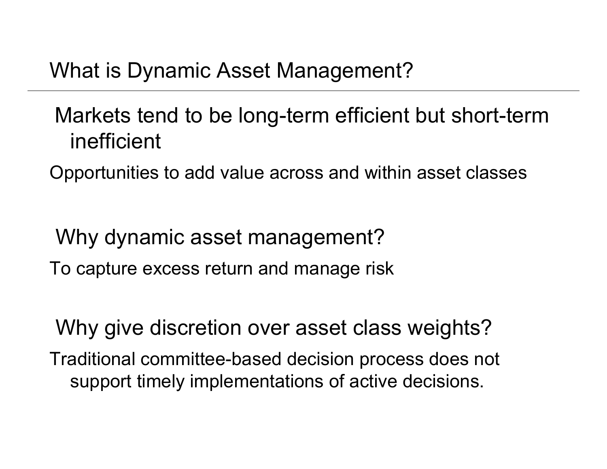### What is Dynamic Asset Management?

### Markets tend to be long-term efficient but short-term inefficient

Opportunities to add value across and within asset classes

Why dynamic asset management? To capture excess return and manage risk

Why give discretion over asset class weights? Traditional committee-based decision process does not support timely implementations of active decisions.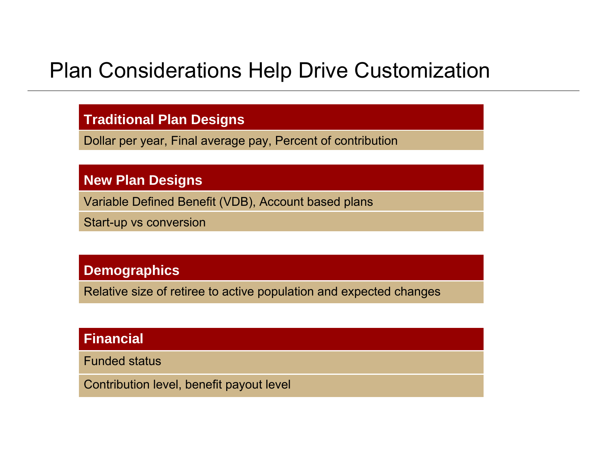### Plan Considerations Help Drive Customization

#### **Traditional Plan Designs**

Dollar per year, Final average pay, Percent of contribution

#### **New Plan Designs**

Variable Defined Benefit (VDB), Account based plans

Start-up vs conversion

#### **Demographics**

Relative size of retiree to active population and expected changes

#### **Financial**

Funded status

Contribution level, benefit payout level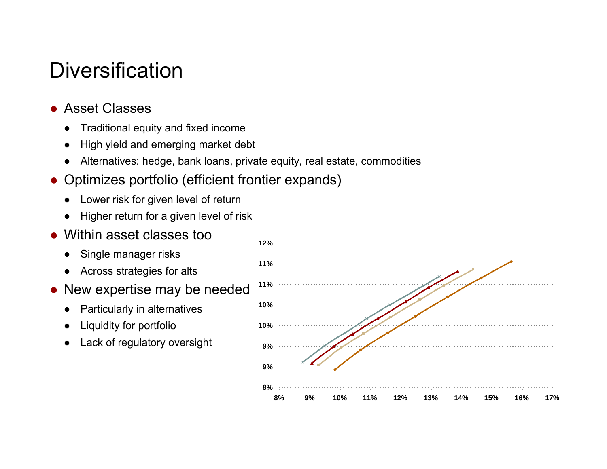### Diversification

- Asset Classes
	- ●Traditional equity and fixed income
	- ●High yield and emerging market debt
	- $\bullet$ Alternatives: hedge, bank loans, private equity, real estate, commodities
- Optimizes portfolio (efficient frontier expands)
	- ●Lower risk for given level of return
	- ●Higher return for a given level of risk
- ● Within asset classes too
	- ●Single manager risks
	- ●Across strategies for alts
- New expertise may be needed
	- ●Particularly in alternatives
	- ●Liquidity for portfolio
	- ●Lack of regulatory oversight

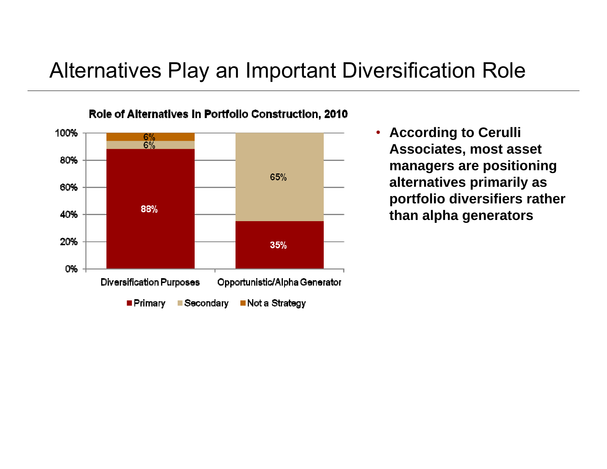### Alternatives Play an Important Diversification Role



• **According to Cerulli Associates, most asset managers are positioning alternatives primarily as portfolio diversifiers rather than alpha generators**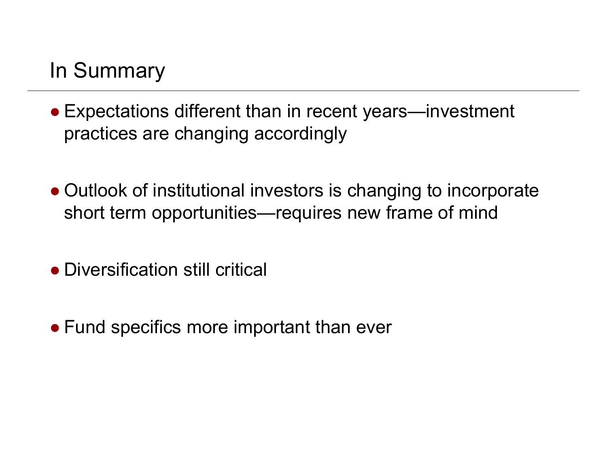### In Summary

- Expectations different than in recent years—investment practices are changing accordingly
- Outlook of institutional investors is changing to incorporate short term opportunities—requires new frame of mind
- Diversification still critical
- Fund specifics more important than ever